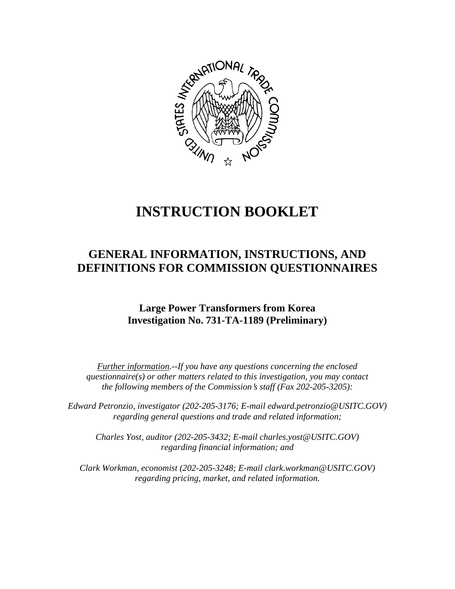

# **INSTRUCTION BOOKLET**

## **GENERAL INFORMATION, INSTRUCTIONS, AND DEFINITIONS FOR COMMISSION QUESTIONNAIRES**

### **Large Power Transformers from Korea Investigation No. 731-TA-1189 (Preliminary)**

*Further information.--If you have any questions concerning the enclosed questionnaire(s) or other matters related to this investigation, you may contact the following members of the Commission's staff (Fax 202-205-3205):* 

 *Edward Petronzio, investigator (202-205-3176; E-mail edward.petronzio@USITC.GOV) regarding general questions and trade and related information;* 

 *Charles Yost, auditor (202-205-3432; E-mail charles.yost@USITC.GOV) regarding financial information; and* 

 *Clark Workman, economist (202-205-3248; E-mail clark.workman@USITC.GOV) regarding pricing, market, and related information.*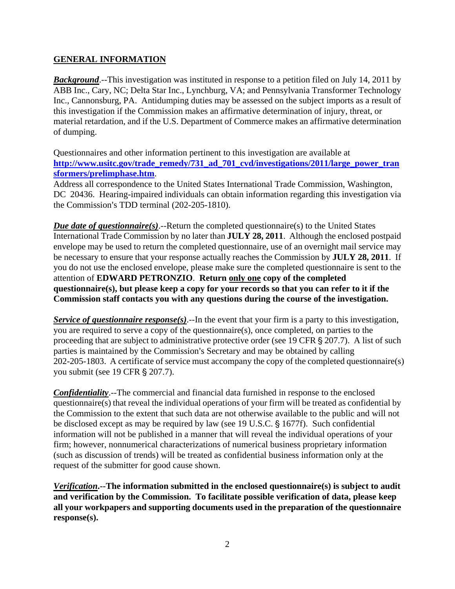#### **GENERAL INFORMATION**

*Background*.--This investigation was instituted in response to a petition filed on July 14, 2011 by ABB Inc., Cary, NC; Delta Star Inc., Lynchburg, VA; and Pennsylvania Transformer Technology Inc., Cannonsburg, PA. Antidumping duties may be assessed on the subject imports as a result of this investigation if the Commission makes an affirmative determination of injury, threat, or material retardation, and if the U.S. Department of Commerce makes an affirmative determination of dumping.

Questionnaires and other information pertinent to this investigation are available at **http://www.usitc.gov/trade\_remedy/731\_ad\_701\_cvd/investigations/2011/large\_power\_tran sformers/prelimphase.htm**.

Address all correspondence to the United States International Trade Commission, Washington, DC 20436. Hearing-impaired individuals can obtain information regarding this investigation via the Commission's TDD terminal (202-205-1810).

*Due date of questionnaire(s)*.--Return the completed questionnaire(s) to the United States International Trade Commission by no later than **JULY 28, 2011**. Although the enclosed postpaid envelope may be used to return the completed questionnaire, use of an overnight mail service may be necessary to ensure that your response actually reaches the Commission by **JULY 28, 2011**. If you do not use the enclosed envelope, please make sure the completed questionnaire is sent to the attention of **EDWARD PETRONZIO**. **Return only one copy of the completed questionnaire(s), but please keep a copy for your records so that you can refer to it if the Commission staff contacts you with any questions during the course of the investigation.**

*Service of questionnaire response(s)*.--In the event that your firm is a party to this investigation, you are required to serve a copy of the questionnaire(s), once completed, on parties to the proceeding that are subject to administrative protective order (see 19 CFR  $\S 207.7$ ). A list of such parties is maintained by the Commission's Secretary and may be obtained by calling 202-205-1803. A certificate of service must accompany the copy of the completed questionnaire(s) you submit (see 19 CFR § 207.7).

*Confidentiality*.--The commercial and financial data furnished in response to the enclosed questionnaire(s) that reveal the individual operations of your firm will be treated as confidential by the Commission to the extent that such data are not otherwise available to the public and will not be disclosed except as may be required by law (see 19 U.S.C. § 1677f). Such confidential information will not be published in a manner that will reveal the individual operations of your firm; however, nonnumerical characterizations of numerical business proprietary information (such as discussion of trends) will be treated as confidential business information only at the request of the submitter for good cause shown.

*Verification***.--The information submitted in the enclosed questionnaire(s) is subject to audit and verification by the Commission. To facilitate possible verification of data, please keep all your workpapers and supporting documents used in the preparation of the questionnaire response(s).**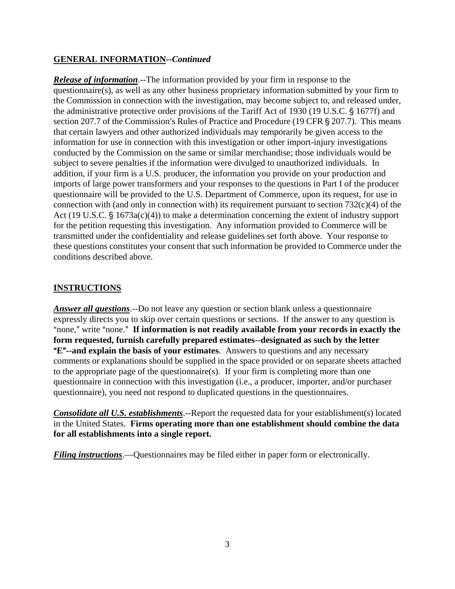#### **GENERAL INFORMATION--***Continued*

*Release of information*.--The information provided by your firm in response to the questionnaire(s), as well as any other business proprietary information submitted by your firm to the Commission in connection with the investigation, may become subject to, and released under, the administrative protective order provisions of the Tariff Act of 1930 (19 U.S.C. § 1677f) and section 207.7 of the Commission's Rules of Practice and Procedure (19 CFR  $\S$  207.7). This means that certain lawyers and other authorized individuals may temporarily be given access to the information for use in connection with this investigation or other import-injury investigations conducted by the Commission on the same or similar merchandise; those individuals would be subject to severe penalties if the information were divulged to unauthorized individuals. In addition, if your firm is a U.S. producer, the information you provide on your production and imports of large power transformers and your responses to the questions in Part I of the producer questionnaire will be provided to the U.S. Department of Commerce, upon its request, for use in connection with (and only in connection with) its requirement pursuant to section  $732(c)(4)$  of the Act (19 U.S.C.  $\frac{6}{5}$  1673a(c)(4)) to make a determination concerning the extent of industry support for the petition requesting this investigation. Any information provided to Commerce will be transmitted under the confidentiality and release guidelines set forth above. Your response to these questions constitutes your consent that such information be provided to Commerce under the conditions described above.

#### **INSTRUCTIONS**

*Answer all questions*.--Do not leave any question or section blank unless a questionnaire expressly directs you to skip over certain questions or sections. If the answer to any question is "none," write "none." If information is not readily available from your records in exactly the **form requested, furnish carefully prepared estimates--designated as such by the letter E<sup>"</sup>--and explain the basis of your estimates**. Answers to questions and any necessary comments or explanations should be supplied in the space provided or on separate sheets attached to the appropriate page of the questionnaire(s). If your firm is completing more than one questionnaire in connection with this investigation (i.e., a producer, importer, and/or purchaser questionnaire), you need not respond to duplicated questions in the questionnaires.

*Consolidate all U.S. establishments*.--Report the requested data for your establishment(s) located in the United States. **Firms operating more than one establishment should combine the data for all establishments into a single report.**

*Filing instructions*.—Questionnaires may be filed either in paper form or electronically.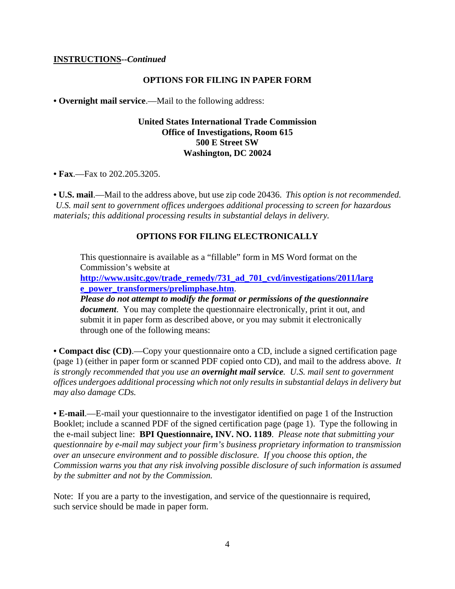#### **INSTRUCTIONS--***Continued*

#### **OPTIONS FOR FILING IN PAPER FORM**

**• Overnight mail service**.—Mail to the following address:

#### **United States International Trade Commission Office of Investigations, Room 615 500 E Street SW Washington, DC 20024**

**• Fax**.—Fax to 202.205.3205.

**• U.S. mail**.—Mail to the address above, but use zip code 20436. *This option is not recommended. U.S. mail sent to government offices undergoes additional processing to screen for hazardous materials; this additional processing results in substantial delays in delivery.* 

#### **OPTIONS FOR FILING ELECTRONICALLY**

This questionnaire is available as a "fillable" form in MS Word format on the Commission's website at

**http://www.usitc.gov/trade\_remedy/731\_ad\_701\_cvd/investigations/2011/larg e\_power\_transformers/prelimphase.htm**.

*Please do not attempt to modify the format or permissions of the questionnaire document*. You may complete the questionnaire electronically, print it out, and submit it in paper form as described above, or you may submit it electronically through one of the following means:

**• Compact disc (CD)**.—Copy your questionnaire onto a CD, include a signed certification page (page 1) (either in paper form or scanned PDF copied onto CD), and mail to the address above. *It is strongly recommended that you use an overnight mail service. U.S. mail sent to government offices undergoes additional processing which not only results in substantial delays in delivery but may also damage CDs.* 

**• E-mail**.—E-mail your questionnaire to the investigator identified on page 1 of the Instruction Booklet; include a scanned PDF of the signed certification page (page 1). Type the following in the e-mail subject line: **BPI Questionnaire, INV. NO. 1189**. *Please note that submitting your questionnaire by e-mail may subject your firm's business proprietary information to transmission over an unsecure environment and to possible disclosure. If you choose this option, the Commission warns you that any risk involving possible disclosure of such information is assumed by the submitter and not by the Commission.* 

Note: If you are a party to the investigation, and service of the questionnaire is required, such service should be made in paper form.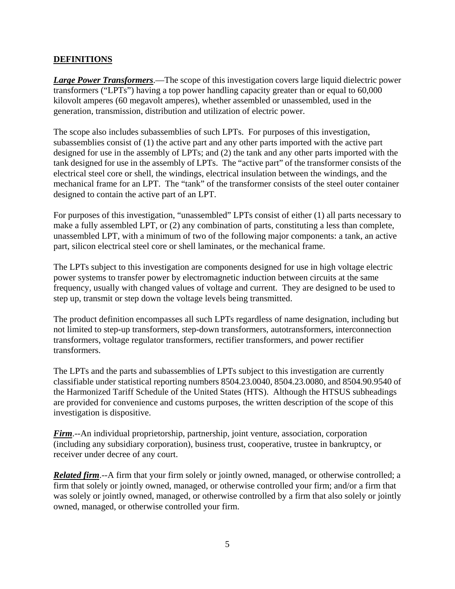#### **DEFINITIONS**

*Large Power Transformers*.—The scope of this investigation covers large liquid dielectric power transformers ("LPTs") having a top power handling capacity greater than or equal to 60,000 kilovolt amperes (60 megavolt amperes), whether assembled or unassembled, used in the generation, transmission, distribution and utilization of electric power.

The scope also includes subassemblies of such LPTs. For purposes of this investigation, subassemblies consist of (1) the active part and any other parts imported with the active part designed for use in the assembly of LPTs; and (2) the tank and any other parts imported with the tank designed for use in the assembly of LPTs. The "active part" of the transformer consists of the electrical steel core or shell, the windings, electrical insulation between the windings, and the mechanical frame for an LPT. The "tank" of the transformer consists of the steel outer container designed to contain the active part of an LPT.

For purposes of this investigation, "unassembled" LPTs consist of either (1) all parts necessary to make a fully assembled LPT, or (2) any combination of parts, constituting a less than complete, unassembled LPT, with a minimum of two of the following major components: a tank, an active part, silicon electrical steel core or shell laminates, or the mechanical frame.

The LPTs subject to this investigation are components designed for use in high voltage electric power systems to transfer power by electromagnetic induction between circuits at the same frequency, usually with changed values of voltage and current. They are designed to be used to step up, transmit or step down the voltage levels being transmitted.

The product definition encompasses all such LPTs regardless of name designation, including but not limited to step-up transformers, step-down transformers, autotransformers, interconnection transformers, voltage regulator transformers, rectifier transformers, and power rectifier transformers.

The LPTs and the parts and subassemblies of LPTs subject to this investigation are currently classifiable under statistical reporting numbers 8504.23.0040, 8504.23.0080, and 8504.90.9540 of the Harmonized Tariff Schedule of the United States (HTS). Although the HTSUS subheadings are provided for convenience and customs purposes, the written description of the scope of this investigation is dispositive.

*Firm*.--An individual proprietorship, partnership, joint venture, association, corporation (including any subsidiary corporation), business trust, cooperative, trustee in bankruptcy, or receiver under decree of any court.

*Related firm*.--A firm that your firm solely or jointly owned, managed, or otherwise controlled; a firm that solely or jointly owned, managed, or otherwise controlled your firm; and/or a firm that was solely or jointly owned, managed, or otherwise controlled by a firm that also solely or jointly owned, managed, or otherwise controlled your firm.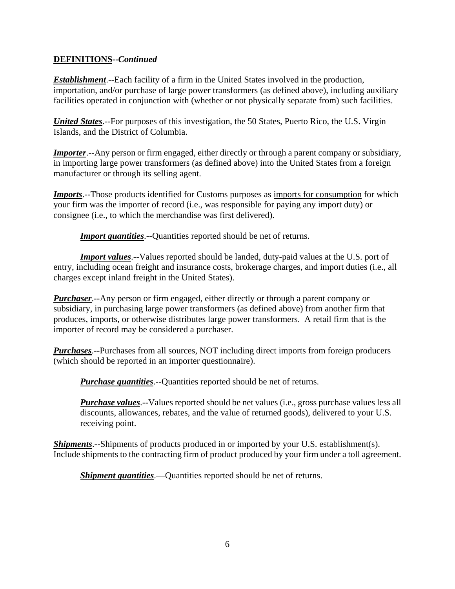#### **DEFINITIONS--***Continued*

*Establishment*.--Each facility of a firm in the United States involved in the production, importation, and/or purchase of large power transformers (as defined above), including auxiliary facilities operated in conjunction with (whether or not physically separate from) such facilities.

*United States*.--For purposes of this investigation, the 50 States, Puerto Rico, the U.S. Virgin Islands, and the District of Columbia.

*Importer*.--Any person or firm engaged, either directly or through a parent company or subsidiary, in importing large power transformers (as defined above) into the United States from a foreign manufacturer or through its selling agent.

**Imports**.--Those products identified for Customs purposes as imports for consumption for which your firm was the importer of record (i.e., was responsible for paying any import duty) or consignee (i.e., to which the merchandise was first delivered).

*Import quantities*.--Quantities reported should be net of returns.

**Import values**.--Values reported should be landed, duty-paid values at the U.S. port of entry, including ocean freight and insurance costs, brokerage charges, and import duties (i.e., all charges except inland freight in the United States).

*Purchaser*.--Any person or firm engaged, either directly or through a parent company or subsidiary, in purchasing large power transformers (as defined above) from another firm that produces, imports, or otherwise distributes large power transformers. A retail firm that is the importer of record may be considered a purchaser.

*Purchases*.--Purchases from all sources, NOT including direct imports from foreign producers (which should be reported in an importer questionnaire).

*Purchase quantities*.--Quantities reported should be net of returns.

*Purchase values*.--Values reported should be net values (i.e., gross purchase values less all discounts, allowances, rebates, and the value of returned goods), delivered to your U.S. receiving point.

*Shipments*.--Shipments of products produced in or imported by your U.S. establishment(s). Include shipments to the contracting firm of product produced by your firm under a toll agreement.

*Shipment quantities*.—Quantities reported should be net of returns.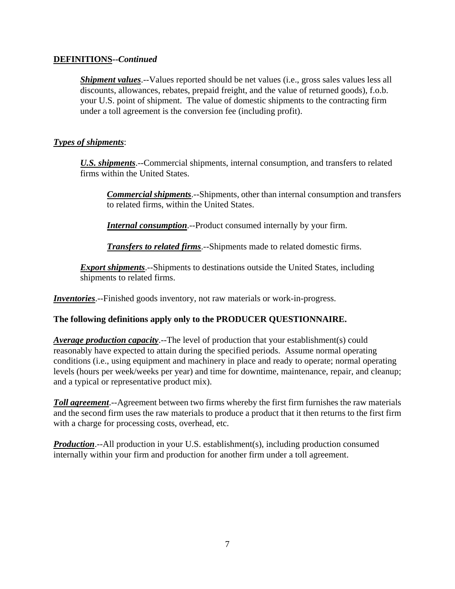#### **DEFINITIONS--***Continued*

*Shipment values*.--Values reported should be net values (i.e., gross sales values less all discounts, allowances, rebates, prepaid freight, and the value of returned goods), f.o.b. your U.S. point of shipment. The value of domestic shipments to the contracting firm under a toll agreement is the conversion fee (including profit).

#### *Types of shipments*:

*U.S. shipments*.--Commercial shipments, internal consumption, and transfers to related firms within the United States.

*Commercial shipments*.--Shipments, other than internal consumption and transfers to related firms, within the United States.

*Internal consumption*.--Product consumed internally by your firm.

*Transfers to related firms*.--Shipments made to related domestic firms.

*Export shipments*.--Shipments to destinations outside the United States, including shipments to related firms.

*Inventories*.--Finished goods inventory, not raw materials or work-in-progress.

#### **The following definitions apply only to the PRODUCER QUESTIONNAIRE.**

*Average production capacity*.--The level of production that your establishment(s) could reasonably have expected to attain during the specified periods. Assume normal operating conditions (i.e., using equipment and machinery in place and ready to operate; normal operating levels (hours per week/weeks per year) and time for downtime, maintenance, repair, and cleanup; and a typical or representative product mix).

*Toll agreement*.--Agreement between two firms whereby the first firm furnishes the raw materials and the second firm uses the raw materials to produce a product that it then returns to the first firm with a charge for processing costs, overhead, etc.

*Production*.--All production in your U.S. establishment(s), including production consumed internally within your firm and production for another firm under a toll agreement.